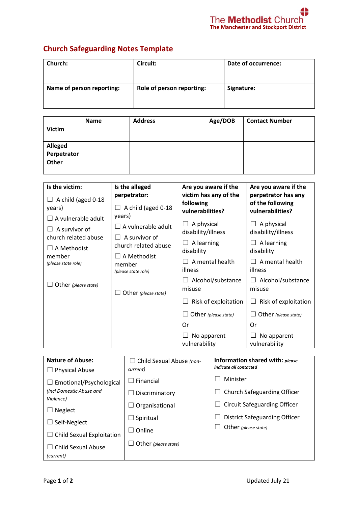## **Church Safeguarding Notes Template**

| <b>Church:</b>            | Circuit:                  | Date of occurrence: |
|---------------------------|---------------------------|---------------------|
| Name of person reporting: | Role of person reporting: | Signature:          |

|                        | <b>Name</b> | <b>Address</b> | Age/DOB | <b>Contact Number</b> |
|------------------------|-------------|----------------|---------|-----------------------|
| <b>Victim</b>          |             |                |         |                       |
|                        |             |                |         |                       |
|                        |             |                |         |                       |
| Alleged<br>Perpetrator |             |                |         |                       |
| Other                  |             |                |         |                       |
|                        |             |                |         |                       |

| Is the victim:                                            | Is the alleged                                                                    | Are you aware if the               | Are you aware if the                                        |
|-----------------------------------------------------------|-----------------------------------------------------------------------------------|------------------------------------|-------------------------------------------------------------|
| A child (aged 0-18<br>years)<br>$\Box$ A vulnerable adult | perpetrator:<br>A child (aged 0-18<br>ப<br>years)                                 |                                    | perpetrator has any<br>of the following<br>vulnerabilities? |
| A survivor of<br>church related abuse                     | A vulnerable adult<br>A survivor of<br>church related abuse<br>$\Box$ A Methodist | A physical<br>disability/illness   | A physical<br>disability/illness                            |
| $\Box$ A Methodist<br>member                              |                                                                                   | A learning<br>$\Box$<br>disability | A learning<br>disability                                    |
| (please state role)                                       | member<br>(please state role)                                                     | A mental health<br>illness         | A mental health<br>illness                                  |
| Other (please state)<br>Other (please state)              | Alcohol/substance<br>ப<br>misuse                                                  | Alcohol/substance<br>misuse        |                                                             |
|                                                           |                                                                                   | Risk of exploitation               | Risk of exploitation                                        |
|                                                           |                                                                                   | Other (please state)               | Other (please state)                                        |
|                                                           |                                                                                   | Or                                 | Or                                                          |
|                                                           |                                                                                   | No apparent<br>vulnerability       | No apparent<br>vulnerability                                |

| <b>Nature of Abuse:</b>               | $\Box$ Child Sexual Abuse (non- | Information shared with: please<br>indicate all contacted |  |
|---------------------------------------|---------------------------------|-----------------------------------------------------------|--|
| $\Box$ Physical Abuse                 | current)                        |                                                           |  |
| $\Box$ Emotional/Psychological        | $\Box$ Financial                | Minister                                                  |  |
| (incl Domestic Abuse and<br>Violence) | $\Box$ Discriminatory           | Church Safeguarding Officer                               |  |
| Neglect                               | $\Box$ Organisational           | <b>Circuit Safeguarding Officer</b>                       |  |
| Self-Neglect                          | Spiritual                       | District Safeguarding Officer                             |  |
|                                       | $\Box$ Online                   | Other (please state)                                      |  |
| $\Box$ Child Sexual Exploitation      |                                 |                                                           |  |
| Child Sexual Abuse                    | $\Box$ Other (please state)     |                                                           |  |
| (current)                             |                                 |                                                           |  |